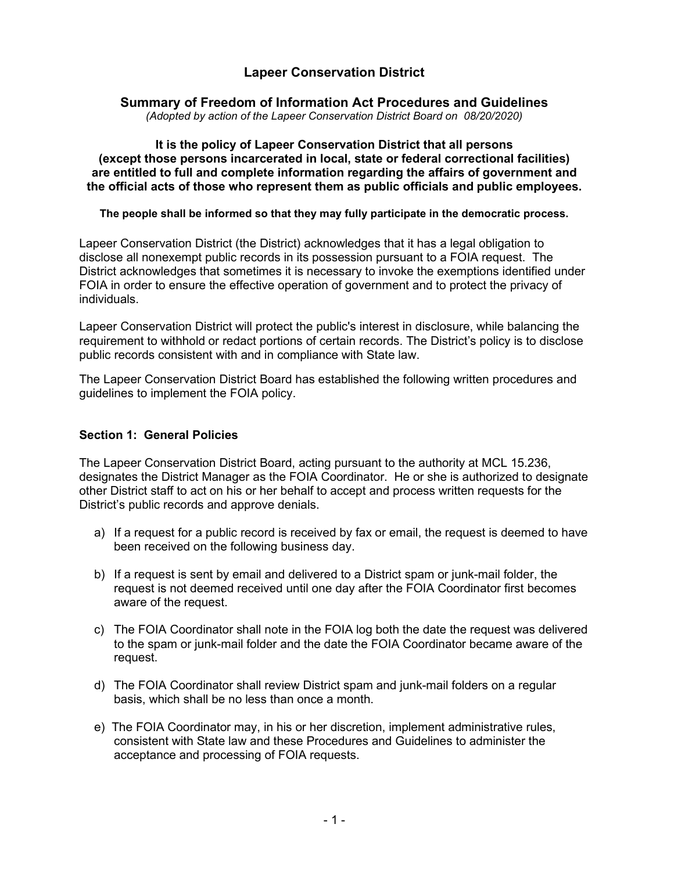# **Lapeer Conservation District**

### **Summary of Freedom of Information Act Procedures and Guidelines**

*(Adopted by action of the Lapeer Conservation District Board on 08/20/2020)*

**It is the policy of Lapeer Conservation District that all persons (except those persons incarcerated in local, state or federal correctional facilities) are entitled to full and complete information regarding the affairs of government and the official acts of those who represent them as public officials and public employees.** 

**The people shall be informed so that they may fully participate in the democratic process.**

Lapeer Conservation District (the District) acknowledges that it has a legal obligation to disclose all nonexempt public records in its possession pursuant to a FOIA request. The District acknowledges that sometimes it is necessary to invoke the exemptions identified under FOIA in order to ensure the effective operation of government and to protect the privacy of individuals.

Lapeer Conservation District will protect the public's interest in disclosure, while balancing the requirement to withhold or redact portions of certain records. The District's policy is to disclose public records consistent with and in compliance with State law.

The Lapeer Conservation District Board has established the following written procedures and guidelines to implement the FOIA policy.

#### **Section 1: General Policies**

The Lapeer Conservation District Board, acting pursuant to the authority at MCL 15.236, designates the District Manager as the FOIA Coordinator. He or she is authorized to designate other District staff to act on his or her behalf to accept and process written requests for the District's public records and approve denials.

- a) If a request for a public record is received by fax or email, the request is deemed to have been received on the following business day.
- b) If a request is sent by email and delivered to a District spam or junk-mail folder, the request is not deemed received until one day after the FOIA Coordinator first becomes aware of the request.
- c) The FOIA Coordinator shall note in the FOIA log both the date the request was delivered to the spam or junk-mail folder and the date the FOIA Coordinator became aware of the request.
- d) The FOIA Coordinator shall review District spam and junk-mail folders on a regular basis, which shall be no less than once a month.
- e) The FOIA Coordinator may, in his or her discretion, implement administrative rules, consistent with State law and these Procedures and Guidelines to administer the acceptance and processing of FOIA requests.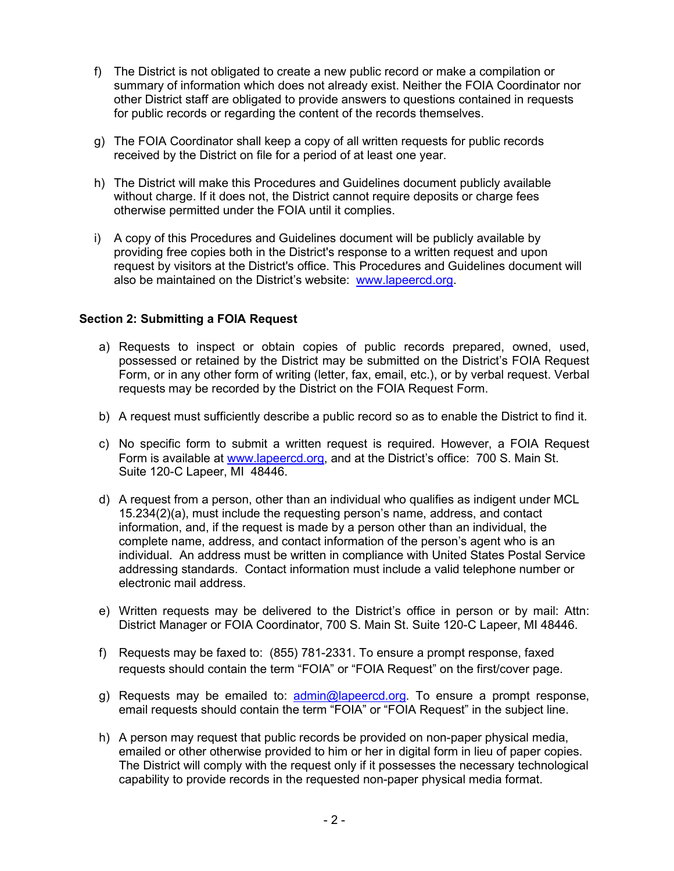- f) The District is not obligated to create a new public record or make a compilation or summary of information which does not already exist. Neither the FOIA Coordinator nor other District staff are obligated to provide answers to questions contained in requests for public records or regarding the content of the records themselves.
- g) The FOIA Coordinator shall keep a copy of all written requests for public records received by the District on file for a period of at least one year.
- h) The District will make this Procedures and Guidelines document publicly available without charge. If it does not, the District cannot require deposits or charge fees otherwise permitted under the FOIA until it complies.
- i) A copy of this Procedures and Guidelines document will be publicly available by providing free copies both in the District's response to a written request and upon request by visitors at the District's office. This Procedures and Guidelines document will also be maintained on the District's website: [www.lapeercd.org.](http://www.lapeercd.org/)

#### **Section 2: Submitting a FOIA Request**

- a) Requests to inspect or obtain copies of public records prepared, owned, used, possessed or retained by the District may be submitted on the District's FOIA Request Form, or in any other form of writing (letter, fax, email, etc.), or by verbal request. Verbal requests may be recorded by the District on the FOIA Request Form.
- b) A request must sufficiently describe a public record so as to enable the District to find it.
- c) No specific form to submit a written request is required. However, a FOIA Request Form is available at www.lapeercd.org, and at the District's office: 700 S. Main St. Suite 120-C Lapeer, MI 48446.
- d) A request from a person, other than an individual who qualifies as indigent under MCL 15.234(2)(a), must include the requesting person's name, address, and contact information, and, if the request is made by a person other than an individual, the complete name, address, and contact information of the person's agent who is an individual. An address must be written in compliance with United States Postal Service addressing standards. Contact information must include a valid telephone number or electronic mail address.
- e) Written requests may be delivered to the District's office in person or by mail: Attn: District Manager or FOIA Coordinator, 700 S. Main St. Suite 120-C Lapeer, MI 48446.
- f) Requests may be faxed to: (855) 781-2331. To ensure a prompt response, faxed requests should contain the term "FOIA" or "FOIA Request" on the first/cover page.
- g) Requests may be emailed to: [admin@lapeercd.org.](mailto:admin@lapeercd.org) To ensure a prompt response, email requests should contain the term "FOIA" or "FOIA Request" in the subject line.
- h) A person may request that public records be provided on non-paper physical media, emailed or other otherwise provided to him or her in digital form in lieu of paper copies. The District will comply with the request only if it possesses the necessary technological capability to provide records in the requested non-paper physical media format.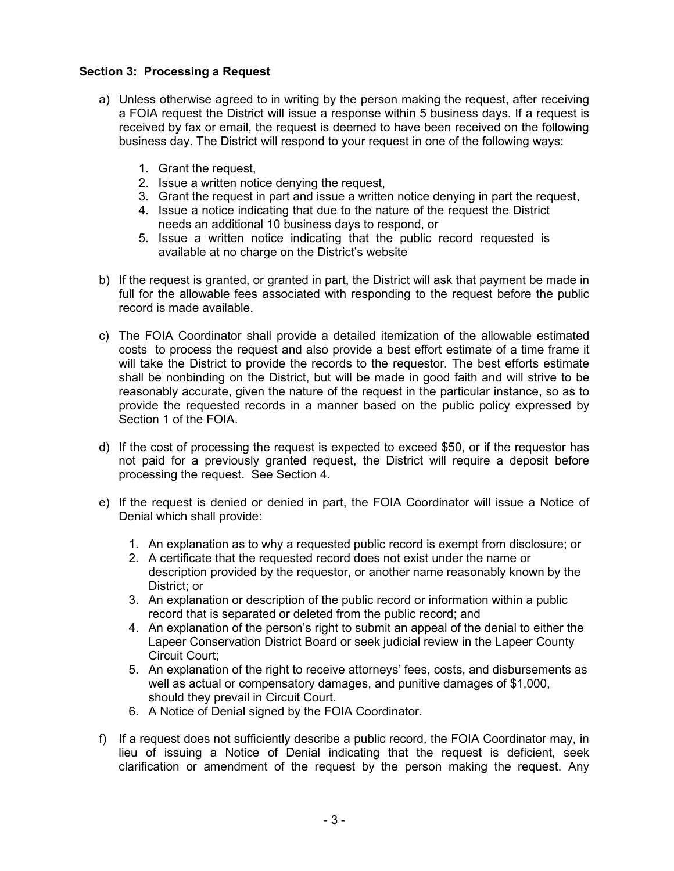### **Section 3: Processing a Request**

- a) Unless otherwise agreed to in writing by the person making the request, after receiving a FOIA request the District will issue a response within 5 business days. If a request is received by fax or email, the request is deemed to have been received on the following business day. The District will respond to your request in one of the following ways:
	- 1. Grant the request,
	- 2. Issue a written notice denying the request,
	- 3. Grant the request in part and issue a written notice denying in part the request,
	- 4. Issue a notice indicating that due to the nature of the request the District needs an additional 10 business days to respond, or
	- 5. Issue a written notice indicating that the public record requested is available at no charge on the District's website
- b) If the request is granted, or granted in part, the District will ask that payment be made in full for the allowable fees associated with responding to the request before the public record is made available.
- c) The FOIA Coordinator shall provide a detailed itemization of the allowable estimated costs to process the request and also provide a best effort estimate of a time frame it will take the District to provide the records to the requestor. The best efforts estimate shall be nonbinding on the District, but will be made in good faith and will strive to be reasonably accurate, given the nature of the request in the particular instance, so as to provide the requested records in a manner based on the public policy expressed by Section 1 of the FOIA.
- d) If the cost of processing the request is expected to exceed \$50, or if the requestor has not paid for a previously granted request, the District will require a deposit before processing the request. See Section 4.
- e) If the request is denied or denied in part, the FOIA Coordinator will issue a Notice of Denial which shall provide:
	- 1. An explanation as to why a requested public record is exempt from disclosure; or
	- 2. A certificate that the requested record does not exist under the name or description provided by the requestor, or another name reasonably known by the District; or
	- 3. An explanation or description of the public record or information within a public record that is separated or deleted from the public record; and
	- 4. An explanation of the person's right to submit an appeal of the denial to either the Lapeer Conservation District Board or seek judicial review in the Lapeer County Circuit Court;
	- 5. An explanation of the right to receive attorneys' fees, costs, and disbursements as well as actual or compensatory damages, and punitive damages of \$1,000, should they prevail in Circuit Court.
	- 6. A Notice of Denial signed by the FOIA Coordinator.
- f) If a request does not sufficiently describe a public record, the FOIA Coordinator may, in lieu of issuing a Notice of Denial indicating that the request is deficient, seek clarification or amendment of the request by the person making the request. Any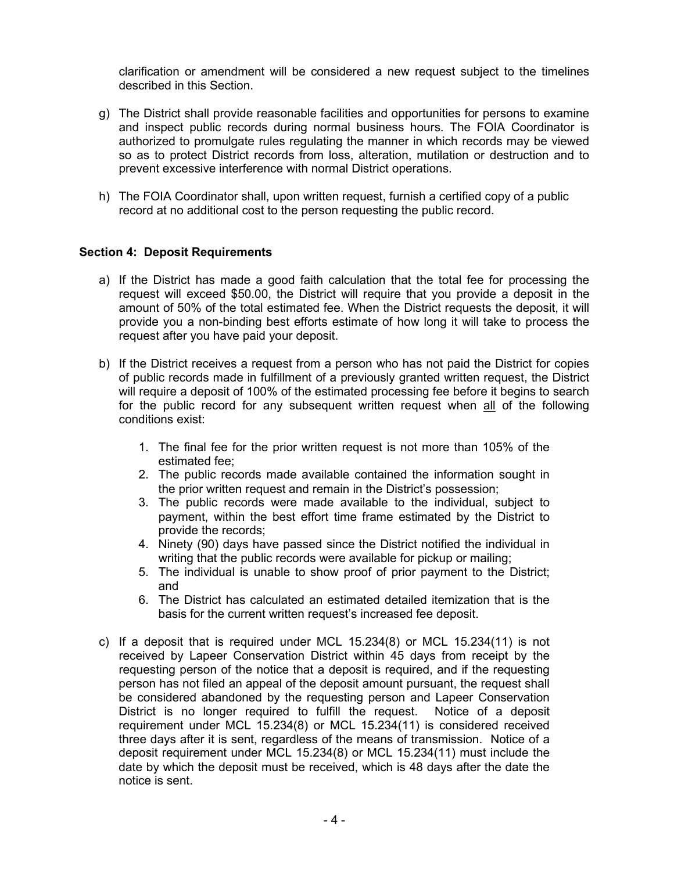clarification or amendment will be considered a new request subject to the timelines described in this Section.

- g) The District shall provide reasonable facilities and opportunities for persons to examine and inspect public records during normal business hours. The FOIA Coordinator is authorized to promulgate rules regulating the manner in which records may be viewed so as to protect District records from loss, alteration, mutilation or destruction and to prevent excessive interference with normal District operations.
- h) The FOIA Coordinator shall, upon written request, furnish a certified copy of a public record at no additional cost to the person requesting the public record.

#### **Section 4: Deposit Requirements**

- a) If the District has made a good faith calculation that the total fee for processing the request will exceed \$50.00, the District will require that you provide a deposit in the amount of 50% of the total estimated fee. When the District requests the deposit, it will provide you a non-binding best efforts estimate of how long it will take to process the request after you have paid your deposit.
- b) If the District receives a request from a person who has not paid the District for copies of public records made in fulfillment of a previously granted written request, the District will require a deposit of 100% of the estimated processing fee before it begins to search for the public record for any subsequent written request when all of the following conditions exist:
	- 1. The final fee for the prior written request is not more than 105% of the estimated fee;
	- 2. The public records made available contained the information sought in the prior written request and remain in the District's possession;
	- 3. The public records were made available to the individual, subject to payment, within the best effort time frame estimated by the District to provide the records;
	- 4. Ninety (90) days have passed since the District notified the individual in writing that the public records were available for pickup or mailing;
	- 5. The individual is unable to show proof of prior payment to the District; and
	- 6. The District has calculated an estimated detailed itemization that is the basis for the current written request's increased fee deposit.
- c) If a deposit that is required under MCL 15.234(8) or MCL 15.234(11) is not received by Lapeer Conservation District within 45 days from receipt by the requesting person of the notice that a deposit is required, and if the requesting person has not filed an appeal of the deposit amount pursuant, the request shall be considered abandoned by the requesting person and Lapeer Conservation District is no longer required to fulfill the request. Notice of a deposit requirement under MCL 15.234(8) or MCL 15.234(11) is considered received three days after it is sent, regardless of the means of transmission. Notice of a deposit requirement under MCL 15.234(8) or MCL 15.234(11) must include the date by which the deposit must be received, which is 48 days after the date the notice is sent.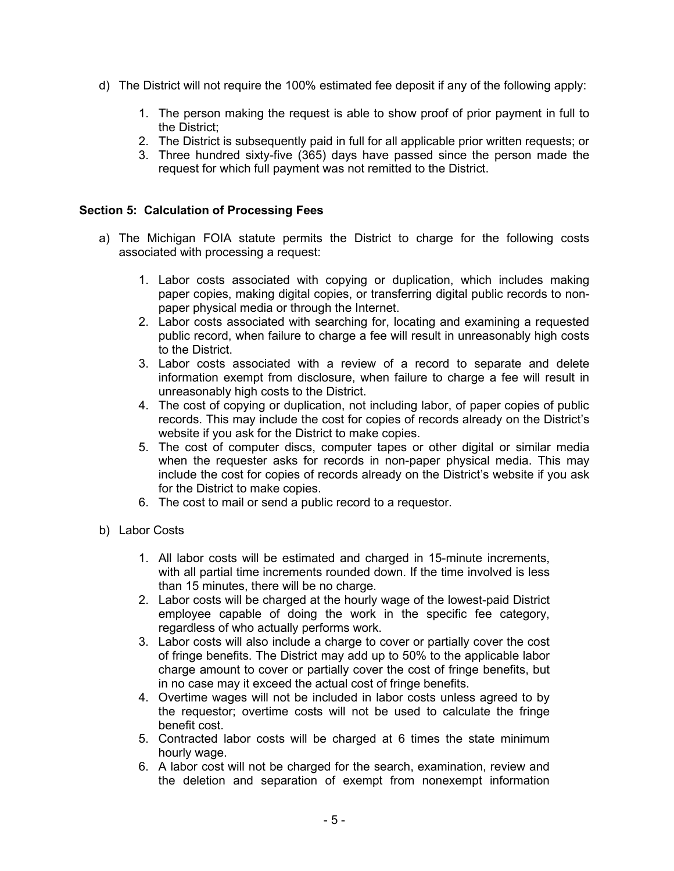- d) The District will not require the 100% estimated fee deposit if any of the following apply:
	- 1. The person making the request is able to show proof of prior payment in full to the District;
	- 2. The District is subsequently paid in full for all applicable prior written requests; or
	- 3. Three hundred sixty-five (365) days have passed since the person made the request for which full payment was not remitted to the District.

#### **Section 5: Calculation of Processing Fees**

- a) The Michigan FOIA statute permits the District to charge for the following costs associated with processing a request:
	- 1. Labor costs associated with copying or duplication, which includes making paper copies, making digital copies, or transferring digital public records to nonpaper physical media or through the Internet.
	- 2. Labor costs associated with searching for, locating and examining a requested public record, when failure to charge a fee will result in unreasonably high costs to the District.
	- 3. Labor costs associated with a review of a record to separate and delete information exempt from disclosure, when failure to charge a fee will result in unreasonably high costs to the District.
	- 4. The cost of copying or duplication, not including labor, of paper copies of public records. This may include the cost for copies of records already on the District's website if you ask for the District to make copies.
	- 5. The cost of computer discs, computer tapes or other digital or similar media when the requester asks for records in non-paper physical media. This may include the cost for copies of records already on the District's website if you ask for the District to make copies.
	- 6. The cost to mail or send a public record to a requestor.
- b) Labor Costs
	- 1. All labor costs will be estimated and charged in 15-minute increments, with all partial time increments rounded down. If the time involved is less than 15 minutes, there will be no charge.
	- 2. Labor costs will be charged at the hourly wage of the lowest-paid District employee capable of doing the work in the specific fee category, regardless of who actually performs work.
	- 3. Labor costs will also include a charge to cover or partially cover the cost of fringe benefits. The District may add up to 50% to the applicable labor charge amount to cover or partially cover the cost of fringe benefits, but in no case may it exceed the actual cost of fringe benefits.
	- 4. Overtime wages will not be included in labor costs unless agreed to by the requestor; overtime costs will not be used to calculate the fringe benefit cost.
	- 5. Contracted labor costs will be charged at 6 times the state minimum hourly wage.
	- 6. A labor cost will not be charged for the search, examination, review and the deletion and separation of exempt from nonexempt information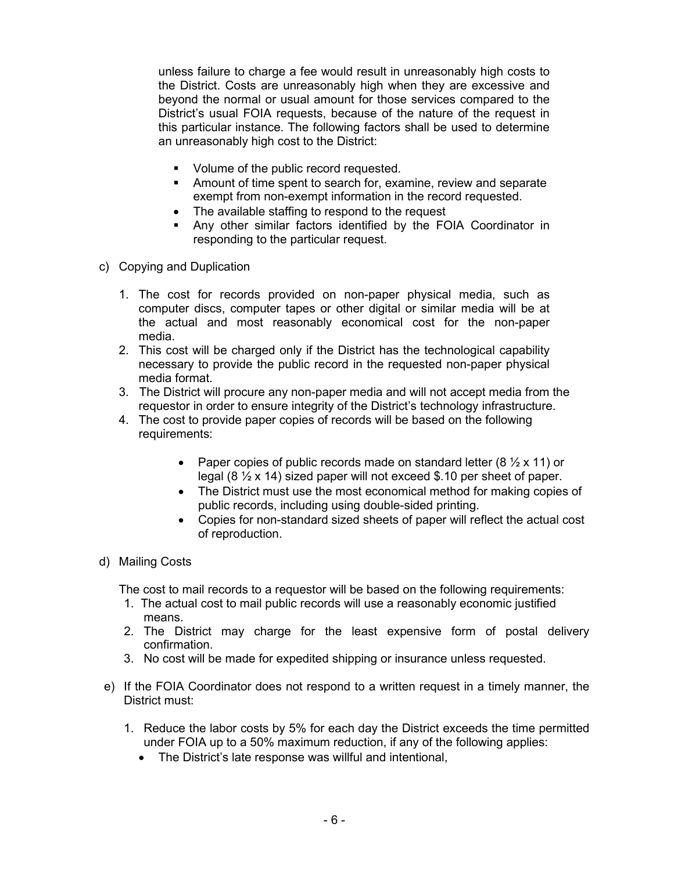unless failure to charge a fee would result in unreasonably high costs to the District. Costs are unreasonably high when they are excessive and beyond the normal or usual amount for those services compared to the District's usual FOIA requests, because of the nature of the request in this particular instance. The following factors shall be used to determine an unreasonably high cost to the District:

- **•** Volume of the public record requested.
- Amount of time spent to search for, examine, review and separate exempt from non-exempt information in the record requested.
- The available staffing to respond to the request
- Any other similar factors identified by the FOIA Coordinator in responding to the particular request.
- c) Copying and Duplication
	- 1. The cost for records provided on non-paper physical media, such as computer discs, computer tapes or other digital or similar media will be at the actual and most reasonably economical cost for the non-paper media.
	- 2. This cost will be charged only if the District has the technological capability necessary to provide the public record in the requested non-paper physical media format.
	- 3. The District will procure any non-paper media and will not accept media from the requestor in order to ensure integrity of the District's technology infrastructure.
	- 4. The cost to provide paper copies of records will be based on the following requirements:
		- Paper copies of public records made on standard letter  $(8 \frac{1}{2} \times 11)$  or legal (8 ½ x 14) sized paper will not exceed \$.10 per sheet of paper.
		- The District must use the most economical method for making copies of public records, including using double-sided printing.
		- Copies for non-standard sized sheets of paper will reflect the actual cost of reproduction.
- d) Mailing Costs

The cost to mail records to a requestor will be based on the following requirements:

- 1. The actual cost to mail public records will use a reasonably economic justified means.
- 2. The District may charge for the least expensive form of postal delivery confirmation.
- 3. No cost will be made for expedited shipping or insurance unless requested.
- e) If the FOIA Coordinator does not respond to a written request in a timely manner, the District must:
	- 1. Reduce the labor costs by 5% for each day the District exceeds the time permitted under FOIA up to a 50% maximum reduction, if any of the following applies:
		- The District's late response was willful and intentional,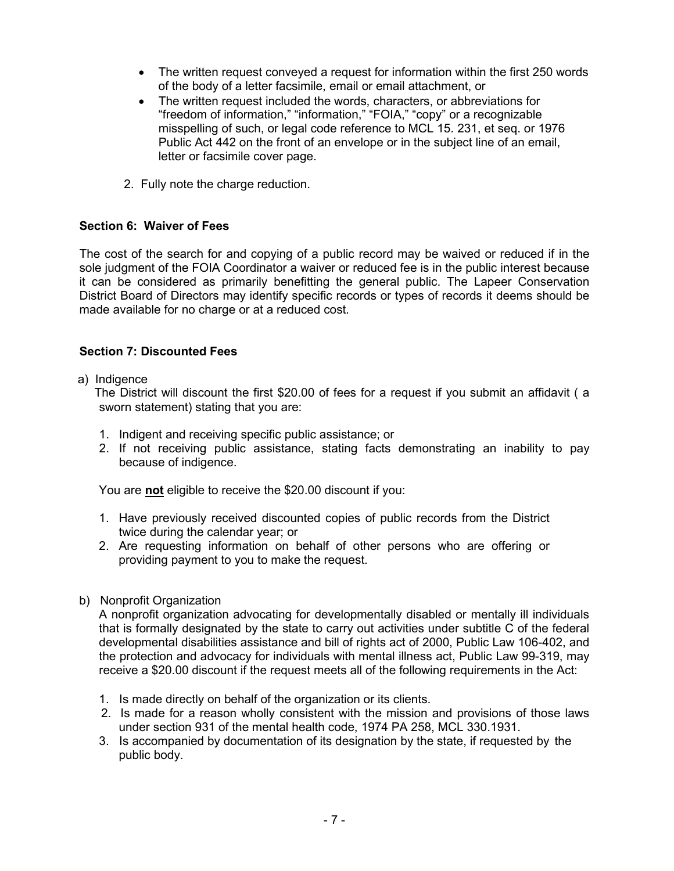- The written request conveyed a request for information within the first 250 words of the body of a letter facsimile, email or email attachment, or
- The written request included the words, characters, or abbreviations for "freedom of information," "information," "FOIA," "copy" or a recognizable misspelling of such, or legal code reference to MCL 15. 231, et seq. or 1976 Public Act 442 on the front of an envelope or in the subject line of an email, letter or facsimile cover page.
- 2. Fully note the charge reduction.

### **Section 6: Waiver of Fees**

The cost of the search for and copying of a public record may be waived or reduced if in the sole judgment of the FOIA Coordinator a waiver or reduced fee is in the public interest because it can be considered as primarily benefitting the general public. The Lapeer Conservation District Board of Directors may identify specific records or types of records it deems should be made available for no charge or at a reduced cost.

### **Section 7: Discounted Fees**

a) Indigence

 The District will discount the first \$20.00 of fees for a request if you submit an affidavit ( a sworn statement) stating that you are:

- 1. Indigent and receiving specific public assistance; or
- 2. If not receiving public assistance, stating facts demonstrating an inability to pay because of indigence.

You are **not** eligible to receive the \$20.00 discount if you:

- 1. Have previously received discounted copies of public records from the District twice during the calendar year; or
- 2. Are requesting information on behalf of other persons who are offering or providing payment to you to make the request.
- b) Nonprofit Organization

A nonprofit organization advocating for developmentally disabled or mentally ill individuals that is formally designated by the state to carry out activities under subtitle C of the federal developmental disabilities assistance and bill of rights act of 2000, Public Law 106-402, and the protection and advocacy for individuals with mental illness act, Public Law 99-319, may receive a \$20.00 discount if the request meets all of the following requirements in the Act:

- 1. Is made directly on behalf of the organization or its clients.
- 2. Is made for a reason wholly consistent with the mission and provisions of those laws under section 931 of the mental health code, 1974 PA 258, MCL 330.1931.
- 3. Is accompanied by documentation of its designation by the state, if requested by the public body.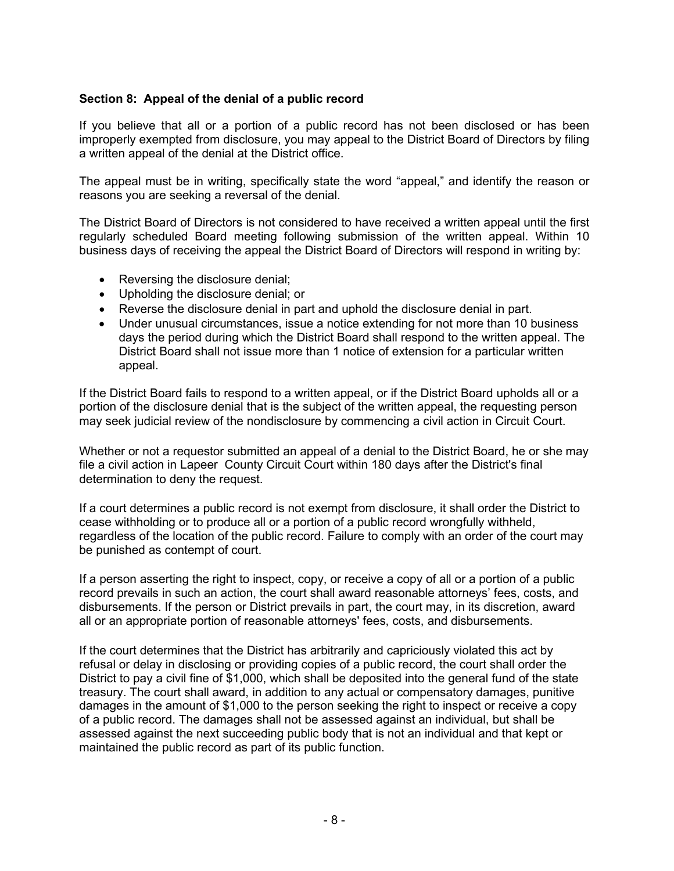### **Section 8: Appeal of the denial of a public record**

If you believe that all or a portion of a public record has not been disclosed or has been improperly exempted from disclosure, you may appeal to the District Board of Directors by filing a written appeal of the denial at the District office.

The appeal must be in writing, specifically state the word "appeal," and identify the reason or reasons you are seeking a reversal of the denial.

The District Board of Directors is not considered to have received a written appeal until the first regularly scheduled Board meeting following submission of the written appeal. Within 10 business days of receiving the appeal the District Board of Directors will respond in writing by:

- Reversing the disclosure denial;
- Upholding the disclosure denial; or
- Reverse the disclosure denial in part and uphold the disclosure denial in part.
- Under unusual circumstances, issue a notice extending for not more than 10 business days the period during which the District Board shall respond to the written appeal. The District Board shall not issue more than 1 notice of extension for a particular written appeal.

If the District Board fails to respond to a written appeal, or if the District Board upholds all or a portion of the disclosure denial that is the subject of the written appeal, the requesting person may seek judicial review of the nondisclosure by commencing a civil action in Circuit Court.

Whether or not a requestor submitted an appeal of a denial to the District Board, he or she may file a civil action in Lapeer County Circuit Court within 180 days after the District's final determination to deny the request.

If a court determines a public record is not exempt from disclosure, it shall order the District to cease withholding or to produce all or a portion of a public record wrongfully withheld, regardless of the location of the public record. Failure to comply with an order of the court may be punished as contempt of court.

If a person asserting the right to inspect, copy, or receive a copy of all or a portion of a public record prevails in such an action, the court shall award reasonable attorneys' fees, costs, and disbursements. If the person or District prevails in part, the court may, in its discretion, award all or an appropriate portion of reasonable attorneys' fees, costs, and disbursements.

If the court determines that the District has arbitrarily and capriciously violated this act by refusal or delay in disclosing or providing copies of a public record, the court shall order the District to pay a civil fine of \$1,000, which shall be deposited into the general fund of the state treasury. The court shall award, in addition to any actual or compensatory damages, punitive damages in the amount of \$1,000 to the person seeking the right to inspect or receive a copy of a public record. The damages shall not be assessed against an individual, but shall be assessed against the next succeeding public body that is not an individual and that kept or maintained the public record as part of its public function.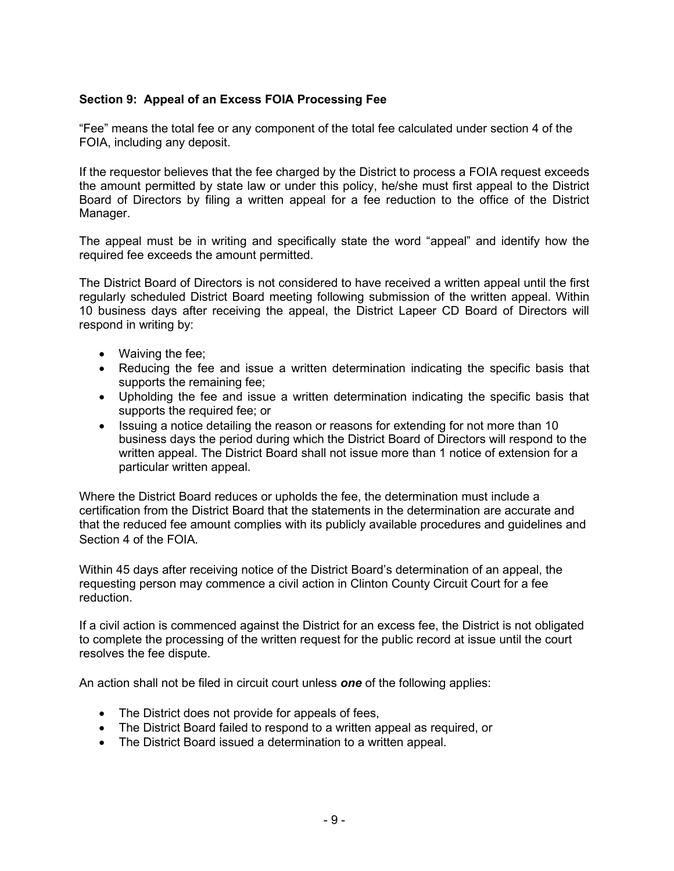# **Section 9: Appeal of an Excess FOIA Processing Fee**

"Fee" means the total fee or any component of the total fee calculated under section 4 of the FOIA, including any deposit.

If the requestor believes that the fee charged by the District to process a FOIA request exceeds the amount permitted by state law or under this policy, he/she must first appeal to the District Board of Directors by filing a written appeal for a fee reduction to the office of the District Manager.

The appeal must be in writing and specifically state the word "appeal" and identify how the required fee exceeds the amount permitted.

The District Board of Directors is not considered to have received a written appeal until the first regularly scheduled District Board meeting following submission of the written appeal. Within 10 business days after receiving the appeal, the District Lapeer CD Board of Directors will respond in writing by:

- Waiving the fee;
- Reducing the fee and issue a written determination indicating the specific basis that supports the remaining fee;
- Upholding the fee and issue a written determination indicating the specific basis that supports the required fee; or
- Issuing a notice detailing the reason or reasons for extending for not more than 10 business days the period during which the District Board of Directors will respond to the written appeal. The District Board shall not issue more than 1 notice of extension for a particular written appeal.

Where the District Board reduces or upholds the fee, the determination must include a certification from the District Board that the statements in the determination are accurate and that the reduced fee amount complies with its publicly available procedures and guidelines and Section 4 of the FOIA.

Within 45 days after receiving notice of the District Board's determination of an appeal, the requesting person may commence a civil action in Clinton County Circuit Court for a fee reduction.

If a civil action is commenced against the District for an excess fee, the District is not obligated to complete the processing of the written request for the public record at issue until the court resolves the fee dispute.

An action shall not be filed in circuit court unless *one* of the following applies:

- The District does not provide for appeals of fees,
- The District Board failed to respond to a written appeal as required, or
- The District Board issued a determination to a written appeal.